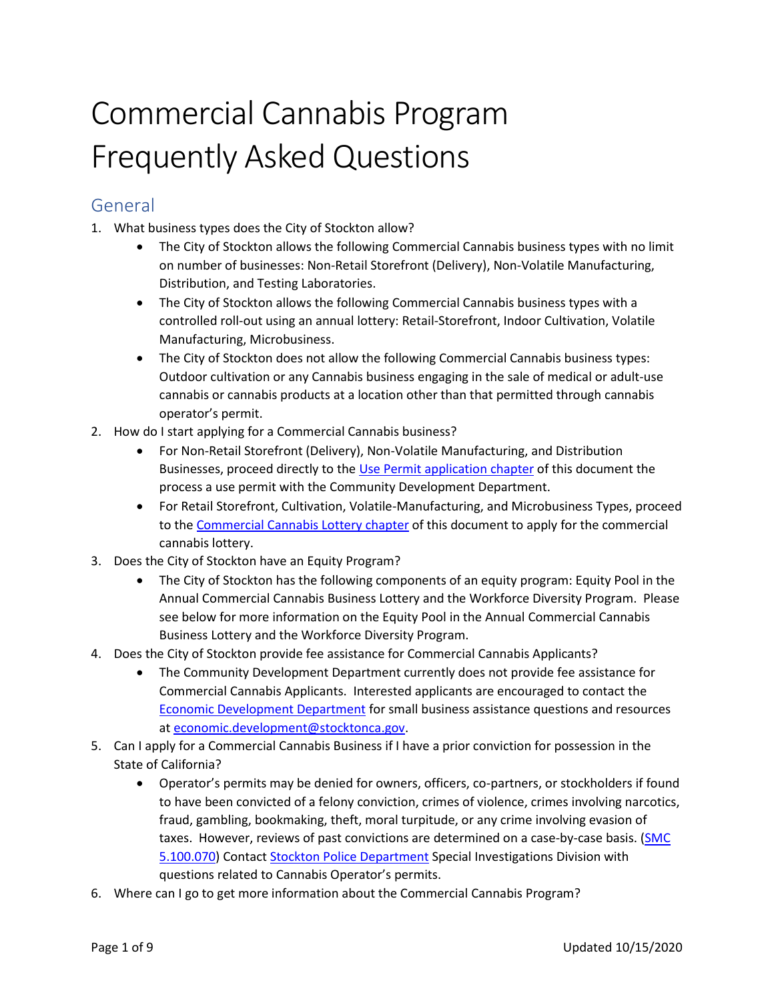# Commercial Cannabis Program Frequently Asked Questions

## General

- 1. What business types does the City of Stockton allow?
	- The City of Stockton allows the following Commercial Cannabis business types with no limit on number of businesses: Non-Retail Storefront (Delivery), Non-Volatile Manufacturing, Distribution, and Testing Laboratories.
	- The City of Stockton allows the following Commercial Cannabis business types with a controlled roll-out using an annual lottery: Retail-Storefront, Indoor Cultivation, Volatile Manufacturing, Microbusiness.
	- The City of Stockton does not allow the following Commercial Cannabis business types: Outdoor cultivation or any Cannabis business engaging in the sale of medical or adult-use cannabis or cannabis products at a location other than that permitted through cannabis operator's permit.
- 2. How do I start applying for a Commercial Cannabis business?
	- For Non-Retail Storefront (Delivery), Non-Volatile Manufacturing, and Distribution Businesses, proceed directly to the [Use Permit application](#page-4-0) chapter of this document the process a use permit with the Community Development Department.
	- For Retail Storefront, Cultivation, Volatile-Manufacturing, and Microbusiness Types, proceed to th[e Commercial Cannabis Lottery chapter](#page-1-0) of this document to apply for the commercial cannabis lottery.
- 3. Does the City of Stockton have an Equity Program?
	- The City of Stockton has the following components of an equity program: Equity Pool in the Annual Commercial Cannabis Business Lottery and the Workforce Diversity Program. Please see below for more information on the Equity Pool in the Annual Commercial Cannabis Business Lottery and the Workforce Diversity Program.
- 4. Does the City of Stockton provide fee assistance for Commercial Cannabis Applicants?
	- The Community Development Department currently does not provide fee assistance for Commercial Cannabis Applicants. Interested applicants are encouraged to contact the [Economic Development Department](http://www.stocktongov.com/government/departments/econDev/eDev.html) for small business assistance questions and resources a[t economic.development@stocktonca.gov.](mailto:economic.development@stocktonca.gov)
- 5. Can I apply for a Commercial Cannabis Business if I have a prior conviction for possession in the State of California?
	- Operator's permits may be denied for owners, officers, co-partners, or stockholders if found to have been convicted of a felony conviction, crimes of violence, crimes involving narcotics, fraud, gambling, bookmaking, theft, moral turpitude, or any crime involving evasion of taxes. However, reviews of past convictions are determined on a case-by-case basis. (SMC [5.100.070\)](http://qcode.us/codes/stockton/view.php?topic=5-5_100-5_100_070&frames=on) Contac[t Stockton Police Department](http://ww1.stocktonca.gov/Departments/Police/Contact-Us/Contact-and-Hours-of-Service) Special Investigations Division with questions related to Cannabis Operator's permits.
- 6. Where can I go to get more information about the Commercial Cannabis Program?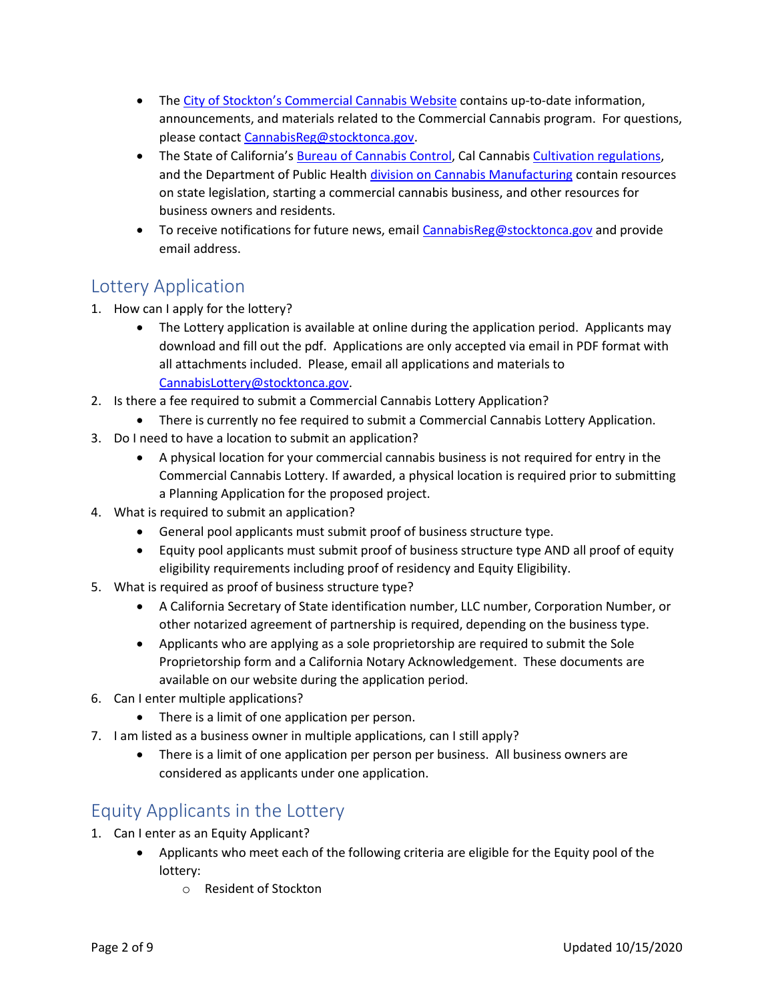- The [City of Stockton's Commercial Cannabis Website](http://stocktonca.gov/government/departments/communityDevelop/cdPlanMedCan.html) contains up-to-date information, announcements, and materials related to the Commercial Cannabis program. For questions, please contact [CannabisReg@stocktonca.gov.](mailto:CannabisReg@stocktonca.gov)
- The State of California's [Bureau of Cannabis Control,](https://bcc.ca.gov/) Cal Cannabi[s Cultivation regulations,](http://calcannabis.cdfa.ca.gov/) and the Department of Public Health [division on Cannabis Manufacturing](https://www.cdph.ca.gov/Programs/CEH/DFDCS/MCSB/Pages/MCSB.aspx) contain resources on state legislation, starting a commercial cannabis business, and other resources for business owners and residents.
- To receive notifications for future news, email [CannabisReg@stocktonca.gov](mailto:CannabisReg@stocktonca.gov) and provide email address.

## <span id="page-1-0"></span>Lottery Application

- 1. How can I apply for the lottery?
	- The Lottery application is available at online during the application period. Applicants may download and fill out the pdf. Applications are only accepted via email in PDF format with all attachments included. Please, email all applications and materials to [CannabisLottery@stocktonca.gov.](mailto:CannabisLottery@stocktonca.gov)
- 2. Is there a fee required to submit a Commercial Cannabis Lottery Application?
	- There is currently no fee required to submit a Commercial Cannabis Lottery Application.
- 3. Do I need to have a location to submit an application?
	- A physical location for your commercial cannabis business is not required for entry in the Commercial Cannabis Lottery. If awarded, a physical location is required prior to submitting a Planning Application for the proposed project.
- 4. What is required to submit an application?
	- General pool applicants must submit proof of business structure type.
	- Equity pool applicants must submit proof of business structure type AND all proof of equity eligibility requirements including proof of residency and Equity Eligibility.
- 5. What is required as proof of business structure type?
	- A California Secretary of State identification number, LLC number, Corporation Number, or other notarized agreement of partnership is required, depending on the business type.
	- Applicants who are applying as a sole proprietorship are required to submit the Sole Proprietorship form and a California Notary Acknowledgement. These documents are available on our website during the application period.
- 6. Can I enter multiple applications?
	- There is a limit of one application per person.
- 7. I am listed as a business owner in multiple applications, can I still apply?
	- There is a limit of one application per person per business. All business owners are considered as applicants under one application.

## Equity Applicants in the Lottery

- 1. Can I enter as an Equity Applicant?
	- Applicants who meet each of the following criteria are eligible for the Equity pool of the lottery:
		- o Resident of Stockton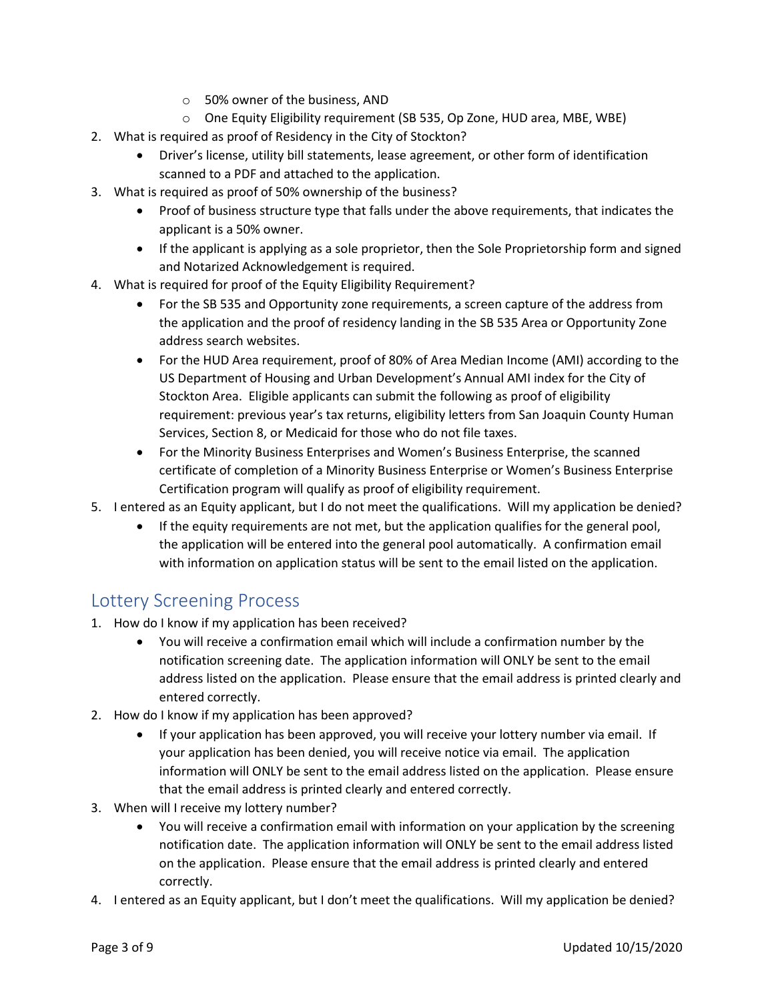- o 50% owner of the business, AND
- o One Equity Eligibility requirement (SB 535, Op Zone, HUD area, MBE, WBE)
- 2. What is required as proof of Residency in the City of Stockton?
	- Driver's license, utility bill statements, lease agreement, or other form of identification scanned to a PDF and attached to the application.
- 3. What is required as proof of 50% ownership of the business?
	- Proof of business structure type that falls under the above requirements, that indicates the applicant is a 50% owner.
	- If the applicant is applying as a sole proprietor, then the Sole Proprietorship form and signed and Notarized Acknowledgement is required.
- 4. What is required for proof of the Equity Eligibility Requirement?
	- For the SB 535 and Opportunity zone requirements, a screen capture of the address from the application and the proof of residency landing in the SB 535 Area or Opportunity Zone address search websites.
	- For the HUD Area requirement, proof of 80% of Area Median Income (AMI) according to the US Department of Housing and Urban Development's Annual AMI index for the City of Stockton Area. Eligible applicants can submit the following as proof of eligibility requirement: previous year's tax returns, eligibility letters from San Joaquin County Human Services, Section 8, or Medicaid for those who do not file taxes.
	- For the Minority Business Enterprises and Women's Business Enterprise, the scanned certificate of completion of a Minority Business Enterprise or Women's Business Enterprise Certification program will qualify as proof of eligibility requirement.
- 5. I entered as an Equity applicant, but I do not meet the qualifications. Will my application be denied?
	- If the equity requirements are not met, but the application qualifies for the general pool, the application will be entered into the general pool automatically. A confirmation email with information on application status will be sent to the email listed on the application.

## Lottery Screening Process

- 1. How do I know if my application has been received?
	- You will receive a confirmation email which will include a confirmation number by the notification screening date. The application information will ONLY be sent to the email address listed on the application. Please ensure that the email address is printed clearly and entered correctly.
- 2. How do I know if my application has been approved?
	- If your application has been approved, you will receive your lottery number via email. If your application has been denied, you will receive notice via email. The application information will ONLY be sent to the email address listed on the application. Please ensure that the email address is printed clearly and entered correctly.
- 3. When will I receive my lottery number?
	- You will receive a confirmation email with information on your application by the screening notification date. The application information will ONLY be sent to the email address listed on the application. Please ensure that the email address is printed clearly and entered correctly.
- 4. I entered as an Equity applicant, but I don't meet the qualifications. Will my application be denied?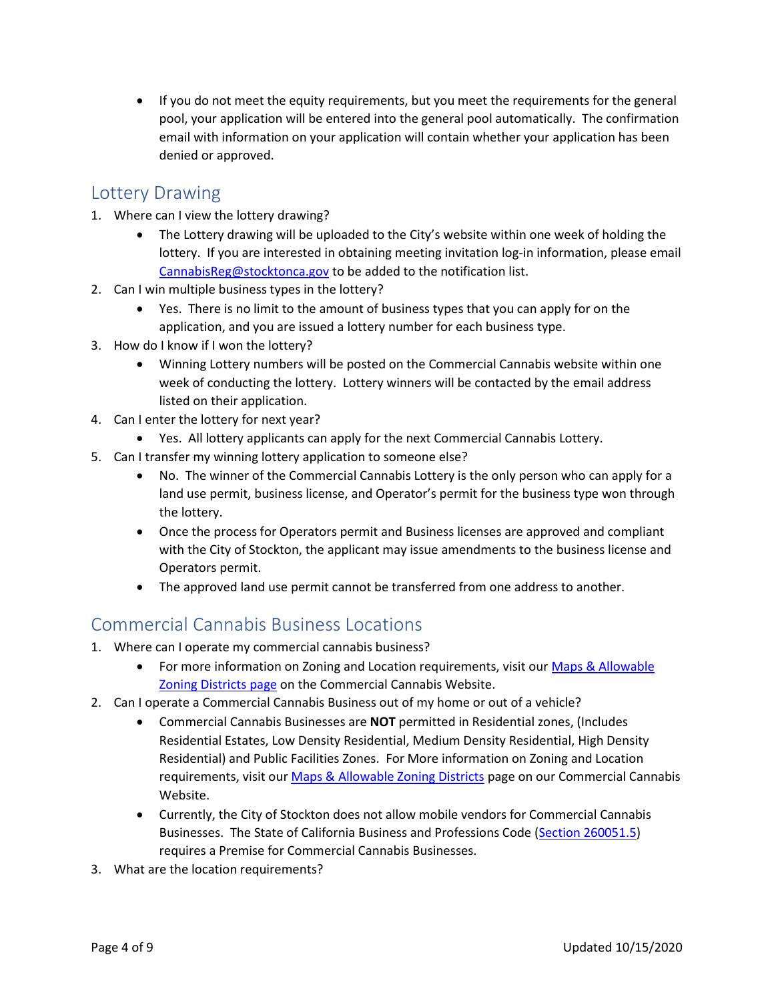• If you do not meet the equity requirements, but you meet the requirements for the general pool, your application will be entered into the general pool automatically. The confirmation email with information on your application will contain whether your application has been denied or approved.

### Lottery Drawing

- 1. Where can I view the lottery drawing?
	- The Lottery drawing will be uploaded to the City's website within one week of holding the lottery. If you are interested in obtaining meeting invitation log-in information, please email [CannabisReg@stocktonca.gov](mailto:CannabisReg@stocktonca.gov) to be added to the notification list.
- 2. Can I win multiple business types in the lottery?
	- Yes. There is no limit to the amount of business types that you can apply for on the application, and you are issued a lottery number for each business type.
- 3. How do I know if I won the lottery?
	- Winning Lottery numbers will be posted on the Commercial Cannabis website within one week of conducting the lottery. Lottery winners will be contacted by the email address listed on their application.
- 4. Can I enter the lottery for next year?
	- Yes. All lottery applicants can apply for the next Commercial Cannabis Lottery.
- 5. Can I transfer my winning lottery application to someone else?
	- No. The winner of the Commercial Cannabis Lottery is the only person who can apply for a land use permit, business license, and Operator's permit for the business type won through the lottery.
	- Once the process for Operators permit and Business licenses are approved and compliant with the City of Stockton, the applicant may issue amendments to the business license and Operators permit.
	- The approved land use permit cannot be transferred from one address to another.

## Commercial Cannabis Business Locations

- 1. Where can I operate my commercial cannabis business?
	- For more information on Zoning and Location requirements, visit our Maps & Allowable [Zoning Districts page](http://stocktonca.gov/government/departments/communityDevelop/cdPlanCanMap.html) on the Commercial Cannabis Website.
- 2. Can I operate a Commercial Cannabis Business out of my home or out of a vehicle?
	- Commercial Cannabis Businesses are **NOT** permitted in Residential zones, (Includes Residential Estates, Low Density Residential, Medium Density Residential, High Density Residential) and Public Facilities Zones. For More information on Zoning and Location requirements, visit ou[r Maps & Allowable Zoning Districts](http://stocktonca.gov/government/departments/communityDevelop/cdPlanCanMap.html) page on our Commercial Cannabis Website.
	- Currently, the City of Stockton does not allow mobile vendors for Commercial Cannabis Businesses. The State of California Business and Professions Code [\(Section 260051.5\)](javascript:submitCodesValues() requires a Premise for Commercial Cannabis Businesses.
- 3. What are the location requirements?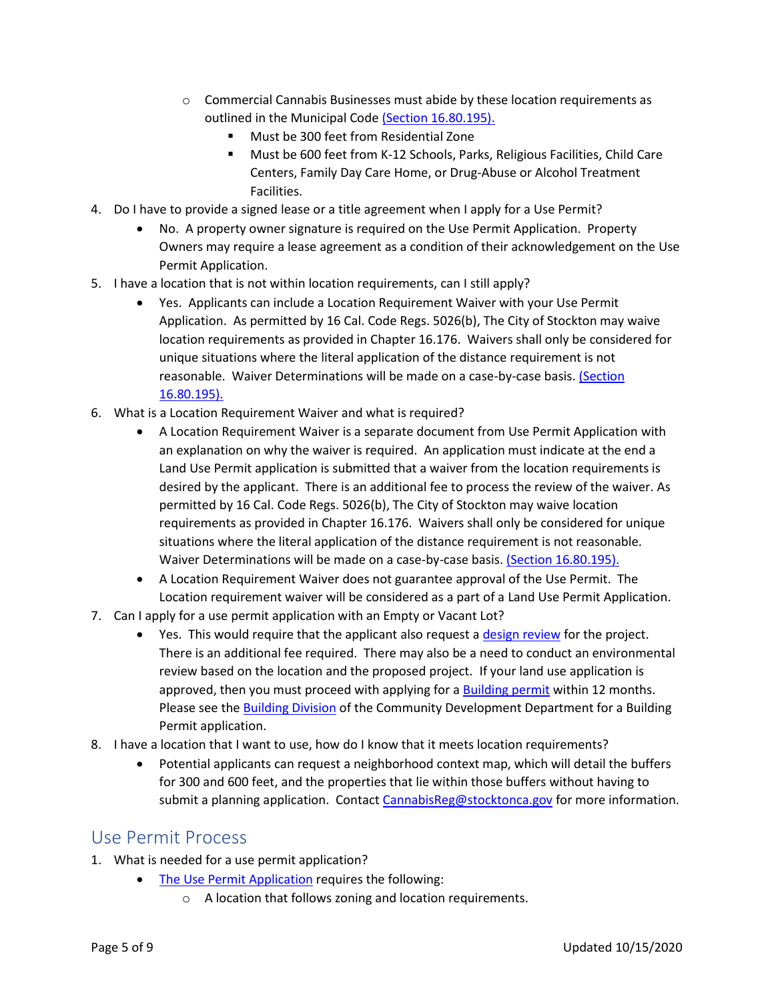- o Commercial Cannabis Businesses must abide by these location requirements as outlined in the Municipal Code [\(Section 16.80.195\).](http://qcode.us/codes/stockton/view.php?topic=5-5_100-5_100_070&frames=on)
	- Must be 300 feet from Residential Zone
	- Must be 600 feet from K-12 Schools, Parks, Religious Facilities, Child Care Centers, Family Day Care Home, or Drug-Abuse or Alcohol Treatment Facilities.
- 4. Do I have to provide a signed lease or a title agreement when I apply for a Use Permit?
	- No. A property owner signature is required on the Use Permit Application. Property Owners may require a lease agreement as a condition of their acknowledgement on the Use Permit Application.
- 5. I have a location that is not within location requirements, can I still apply?
	- Yes. Applicants can include a Location Requirement Waiver with your Use Permit Application. As permitted by 16 Cal. Code Regs. 5026(b), The City of Stockton may waive location requirements as provided in Chapter 16.176. Waivers shall only be considered for unique situations where the literal application of the distance requirement is not reasonable. Waiver Determinations will be made on a case-by-case basis. [\(Section](http://qcode.us/codes/stockton/view.php?topic=5-5_100-5_100_070&frames=on)  [16.80.195\).](http://qcode.us/codes/stockton/view.php?topic=5-5_100-5_100_070&frames=on)
- 6. What is a Location Requirement Waiver and what is required?
	- A Location Requirement Waiver is a separate document from Use Permit Application with an explanation on why the waiver is required. An application must indicate at the end a Land Use Permit application is submitted that a waiver from the location requirements is desired by the applicant. There is an additional fee to process the review of the waiver. As permitted by 16 Cal. Code Regs. 5026(b), The City of Stockton may waive location requirements as provided in Chapter 16.176. Waivers shall only be considered for unique situations where the literal application of the distance requirement is not reasonable. Waiver Determinations will be made on a case-by-case basis[. \(Section 16.80.195\).](http://qcode.us/codes/stockton/view.php?topic=5-5_100-5_100_070&frames=on)
	- A Location Requirement Waiver does not guarantee approval of the Use Permit. The Location requirement waiver will be considered as a part of a Land Use Permit Application.
- 7. Can I apply for a use permit application with an Empty or Vacant Lot?
	- Yes. This would require that the applicant also request a [design review](http://qcode.us/codes/stockton/view.php?topic=16-5-16_120&showAll=1&frames=on) for the project. There is an additional fee required. There may also be a need to conduct an environmental review based on the location and the proposed project. If your land use application is approved, then you must proceed with applying for a [Building permit](http://stocktonca.gov/government/departments/permitCenter/building.html) within 12 months. Please see the [Building Division](http://stocktonca.gov/government/departments/permitCenter/building.html) of the Community Development Department for a Building Permit application.
- 8. I have a location that I want to use, how do I know that it meets location requirements?
	- Potential applicants can request a neighborhood context map, which will detail the buffers for 300 and 600 feet, and the properties that lie within those buffers without having to submit a planning application. Contact [CannabisReg@stocktonca.gov](mailto:CannabisReg@stocktonca.gov) for more information.

#### <span id="page-4-0"></span>Use Permit Process

- 1. What is needed for a use permit application?
	- [The Use Permit Application](http://stocktonca.gov/government/departments/permitCenter/planApp.html) requires the following:
		- o A location that follows zoning and location requirements.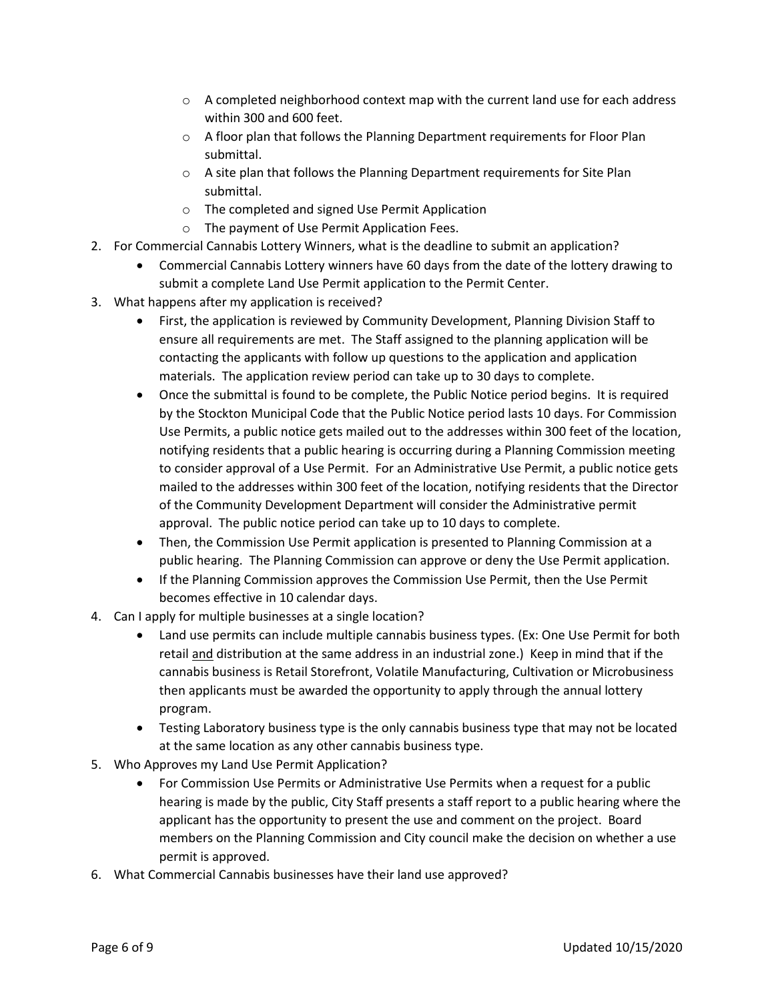- $\circ$  A completed neighborhood context map with the current land use for each address within 300 and 600 feet.
- $\circ$  A floor plan that follows the Planning Department requirements for Floor Plan submittal.
- o A site plan that follows the Planning Department requirements for Site Plan submittal.
- o The completed and signed Use Permit Application
- o The payment of Use Permit Application Fees.
- 2. For Commercial Cannabis Lottery Winners, what is the deadline to submit an application?
	- Commercial Cannabis Lottery winners have 60 days from the date of the lottery drawing to submit a complete Land Use Permit application to the Permit Center.
- 3. What happens after my application is received?
	- First, the application is reviewed by Community Development, Planning Division Staff to ensure all requirements are met. The Staff assigned to the planning application will be contacting the applicants with follow up questions to the application and application materials. The application review period can take up to 30 days to complete.
	- Once the submittal is found to be complete, the Public Notice period begins. It is required by the Stockton Municipal Code that the Public Notice period lasts 10 days. For Commission Use Permits, a public notice gets mailed out to the addresses within 300 feet of the location, notifying residents that a public hearing is occurring during a Planning Commission meeting to consider approval of a Use Permit. For an Administrative Use Permit, a public notice gets mailed to the addresses within 300 feet of the location, notifying residents that the Director of the Community Development Department will consider the Administrative permit approval. The public notice period can take up to 10 days to complete.
	- Then, the Commission Use Permit application is presented to Planning Commission at a public hearing. The Planning Commission can approve or deny the Use Permit application.
	- If the Planning Commission approves the Commission Use Permit, then the Use Permit becomes effective in 10 calendar days.
- 4. Can I apply for multiple businesses at a single location?
	- Land use permits can include multiple cannabis business types. (Ex: One Use Permit for both retail and distribution at the same address in an industrial zone.) Keep in mind that if the cannabis business is Retail Storefront, Volatile Manufacturing, Cultivation or Microbusiness then applicants must be awarded the opportunity to apply through the annual lottery program.
	- Testing Laboratory business type is the only cannabis business type that may not be located at the same location as any other cannabis business type.
- 5. Who Approves my Land Use Permit Application?
	- For Commission Use Permits or Administrative Use Permits when a request for a public hearing is made by the public, City Staff presents a staff report to a public hearing where the applicant has the opportunity to present the use and comment on the project. Board members on the Planning Commission and City council make the decision on whether a use permit is approved.
- 6. What Commercial Cannabis businesses have their land use approved?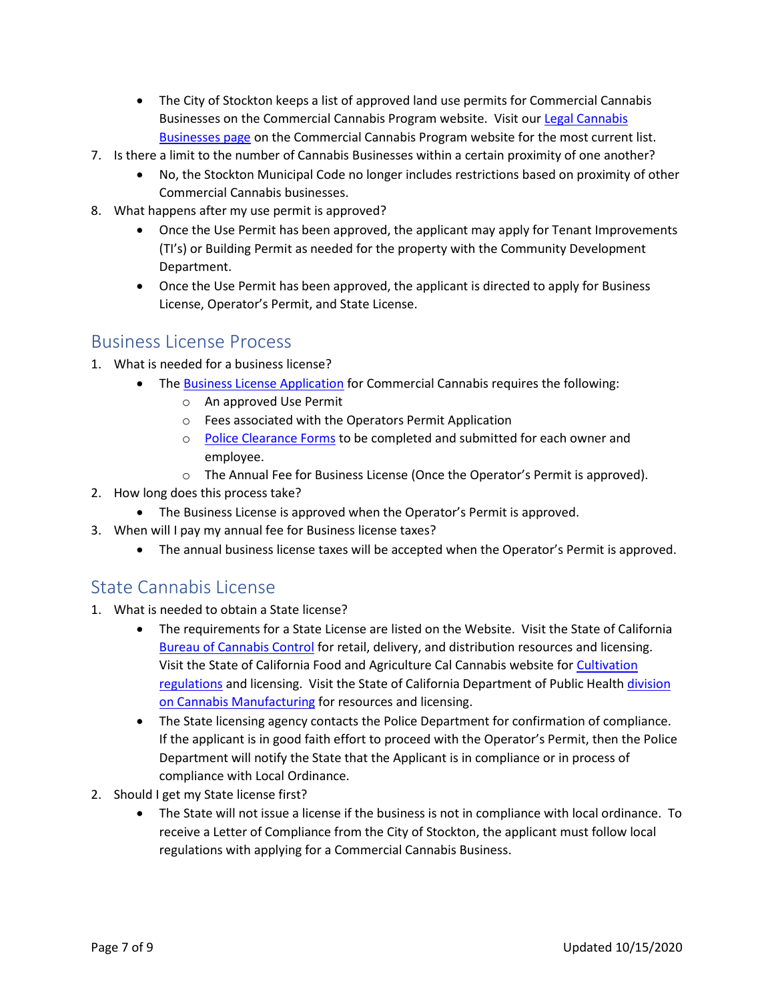- The City of Stockton keeps a list of approved land use permits for Commercial Cannabis Businesses on the Commercial Cannabis Program website. Visit ou[r Legal Cannabis](http://stocktonca.gov/government/departments/communityDevelop/cdPlanCanBus.html)  [Businesses page](http://stocktonca.gov/government/departments/communityDevelop/cdPlanCanBus.html) on the Commercial Cannabis Program website for the most current list.
- 7. Is there a limit to the number of Cannabis Businesses within a certain proximity of one another?
	- No, the Stockton Municipal Code no longer includes restrictions based on proximity of other Commercial Cannabis businesses.
- 8. What happens after my use permit is approved?
	- Once the Use Permit has been approved, the applicant may apply for Tenant Improvements (TI's) or Building Permit as needed for the property with the Community Development Department.
	- Once the Use Permit has been approved, the applicant is directed to apply for Business License, Operator's Permit, and State License.

#### Business License Process

- 1. What is needed for a business license?
	- The [Business License Application](http://stocktonca.gov/files/CannabisBusinessLicenseApp.pdf) for Commercial Cannabis requires the following:
		- o An approved Use Permit
		- o Fees associated with the Operators Permit Application
		- o [Police Clearance Forms](http://ww1.stocktonca.gov/Departments/Police/Contact-Us/Contact-and-Hours-of-Service) to be completed and submitted for each owner and employee.
		- o The Annual Fee for Business License (Once the Operator's Permit is approved).
- 2. How long does this process take?
	- The Business License is approved when the Operator's Permit is approved.
- 3. When will I pay my annual fee for Business license taxes?
	- The annual business license taxes will be accepted when the Operator's Permit is approved.

#### State Cannabis License

- 1. What is needed to obtain a State license?
	- The requirements for a State License are listed on the Website. Visit the State of California [Bureau of Cannabis Control](https://bcc.ca.gov/) for retail, delivery, and distribution resources and licensing. Visit the State of California Food and Agriculture Cal Cannabis website for [Cultivation](http://calcannabis.cdfa.ca.gov/)  [regulations](http://calcannabis.cdfa.ca.gov/) and licensing. Visit the State of California Department of Public Health [division](https://www.cdph.ca.gov/Programs/CEH/DFDCS/MCSB/Pages/MCSB.aspx)  [on Cannabis Manufacturing](https://www.cdph.ca.gov/Programs/CEH/DFDCS/MCSB/Pages/MCSB.aspx) for resources and licensing.
	- The State licensing agency contacts the Police Department for confirmation of compliance. If the applicant is in good faith effort to proceed with the Operator's Permit, then the Police Department will notify the State that the Applicant is in compliance or in process of compliance with Local Ordinance.
- 2. Should I get my State license first?
	- The State will not issue a license if the business is not in compliance with local ordinance. To receive a Letter of Compliance from the City of Stockton, the applicant must follow local regulations with applying for a Commercial Cannabis Business.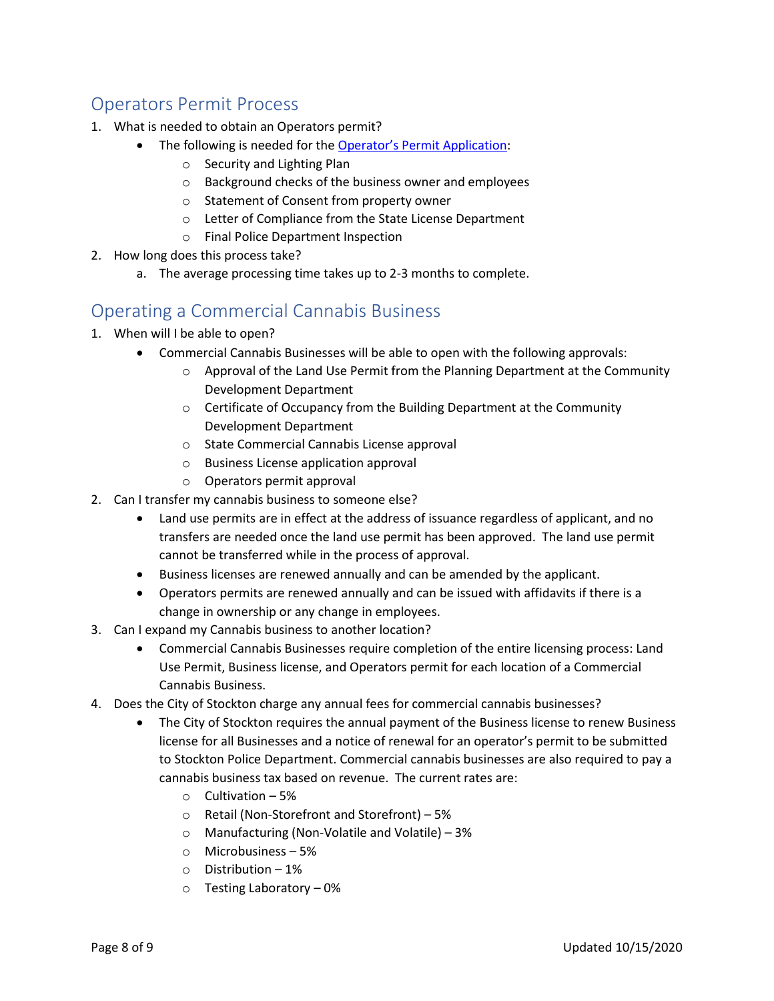## Operators Permit Process

- 1. What is needed to obtain an Operators permit?
	- The following is needed for the Operator's [Permit Application:](http://stocktonca.gov/files/CannabisOperatorsPermitApp.pdf)
		- o Security and Lighting Plan
		- o Background checks of the business owner and employees
		- o Statement of Consent from property owner
		- o Letter of Compliance from the State License Department
		- o Final Police Department Inspection
- 2. How long does this process take?
	- a. The average processing time takes up to 2-3 months to complete.

## Operating a Commercial Cannabis Business

- 1. When will I be able to open?
	- Commercial Cannabis Businesses will be able to open with the following approvals:
		- o Approval of the Land Use Permit from the Planning Department at the Community Development Department
		- o Certificate of Occupancy from the Building Department at the Community Development Department
		- o State Commercial Cannabis License approval
		- o Business License application approval
		- o Operators permit approval
- 2. Can I transfer my cannabis business to someone else?
	- Land use permits are in effect at the address of issuance regardless of applicant, and no transfers are needed once the land use permit has been approved. The land use permit cannot be transferred while in the process of approval.
	- Business licenses are renewed annually and can be amended by the applicant.
	- Operators permits are renewed annually and can be issued with affidavits if there is a change in ownership or any change in employees.
- 3. Can I expand my Cannabis business to another location?
	- Commercial Cannabis Businesses require completion of the entire licensing process: Land Use Permit, Business license, and Operators permit for each location of a Commercial Cannabis Business.
- 4. Does the City of Stockton charge any annual fees for commercial cannabis businesses?
	- The City of Stockton requires the annual payment of the Business license to renew Business license for all Businesses and a notice of renewal for an operator's permit to be submitted to Stockton Police Department. Commercial cannabis businesses are also required to pay a cannabis business tax based on revenue. The current rates are:
		- $\circ$  Cultivation 5%
		- o Retail (Non-Storefront and Storefront) 5%
		- o Manufacturing (Non-Volatile and Volatile) 3%
		- o Microbusiness 5%
		- o Distribution 1%
		- o Testing Laboratory 0%